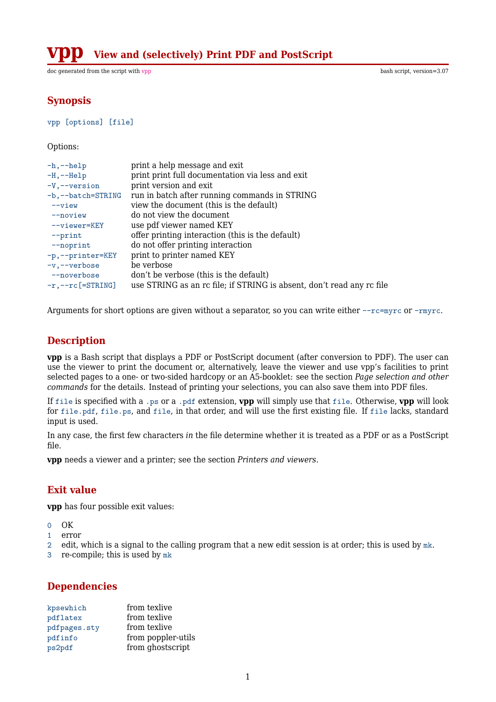**View and (selectively) Print PDF and PostScript** 

doc generated from the script with [vpp](http://www.dekkerdocumenten.nl/unix/doc/gendoc.html) bash script, version=3.07

# **Synopsis**

```
vpp [options] [file]
```
#### Options:

| $-h,--help$             | print a help message and exit                                         |
|-------------------------|-----------------------------------------------------------------------|
| $-H, --He1p$            | print print full documentation via less and exit                      |
| $-V$ , $-v$ version     | print version and exit                                                |
| $-b$ , $-$ batch=STRING | run in batch after running commands in STRING                         |
| $--view$                | view the document (this is the default)                               |
| $-$ -noview             | do not view the document                                              |
| $--viewer=KEY$          | use pdf viewer named KEY                                              |
| $--print$               | offer printing interaction (this is the default)                      |
| $--$ noprint            | do not offer printing interaction                                     |
| -p,--printer=KEY        | print to printer named KEY                                            |
| $-v$ , $-v$ erbose      | be verbose                                                            |
| --noverbose             | don't be verbose (this is the default)                                |
| $-r, -r c$ [=STRING]    | use STRING as an rc file; if STRING is absent, don't read any rc file |
|                         |                                                                       |

Arguments for short options are given without a separator, so you can write either --rc=myrc or -rmyrc.

# **Description**

**vpp** is a Bash script that displays a PDF or PostScript document (after conversion to PDF). The user can use the viewer to print the document or, alternatively, leave the viewer and use vpp's facilities to print selected pages to a one- or two-sided hardcopy or an A5-booklet: see the section *Page selection and other commands* for the details. Instead of printing your selections, you can also save them into PDF files.

If file is specified with a .ps or a .pdf extension, **vpp** will simply use that file. Otherwise, **vpp** will look for file.pdf, file.ps, and file, in that order, and will use the first existing file. If file lacks, standard input is used.

In any case, the first few characters *in* the file determine whether it is treated as a PDF or as a PostScript file.

**vpp** needs a viewer and a printer; see the section *Printers and viewers*.

#### **Exit value**

**vpp** has four possible exit values:

- 0 OK
- 1 error
- 2 edit, which is a signal to the calling program that a new edit session is at order; this is used by  $m<sub>k</sub>$ .
- 3 re-compile; this is used by mk

# **Dependencies**

| kpsewhich    | from texlive       |
|--------------|--------------------|
| pdflatex     | from texlive       |
| pdfpages.sty | from texlive       |
| pdfinfo      | from poppler-utils |
| ps2pdf       | from ghostscript   |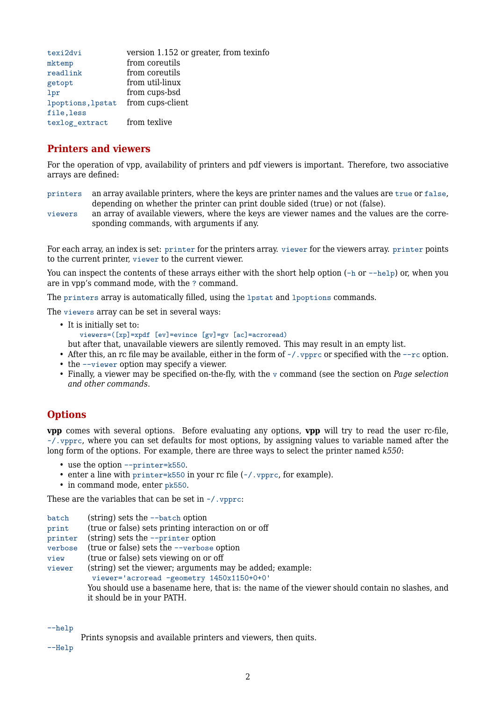| texi2dvi          | version 1.152 or greater, from texinfo |
|-------------------|----------------------------------------|
| mktemp            | from coreutils                         |
| readlink          | from coreutils                         |
| getopt            | from util-linux                        |
| lpr               | from cups-bsd                          |
| lpoptions, lpstat | from cups-client                       |
| file, less        |                                        |
| texlog_extract    | from texlive                           |

#### **Printers and viewers**

For the operation of vpp, availability of printers and pdf viewers is important. Therefore, two associative arrays are defined:

- printers an array available printers, where the keys are printer names and the values are true or false, depending on whether the printer can print double sided (true) or not (false).
- viewers an array of available viewers, where the keys are viewer names and the values are the corresponding commands, with arguments if any.

For each array, an index is set: printer for the printers array. viewer for the viewers array. printer points to the current printer, viewer to the current viewer.

You can inspect the contents of these arrays either with the short help option (-h or --help) or, when you are in vpp's command mode, with the ? command.

The printers array is automatically filled, using the lpstat and lpoptions commands.

The viewers array can be set in several ways:

- It is initially set to: viewers=([xp]=xpdf [ev]=evince [gv]=gv [ac]=acroread)
- but after that, unavailable viewers are silently removed. This may result in an empty list.
- After this, an rc file may be available, either in the form of  $\sim$ /. vpprc or specified with the  $-\text{rc}$  option.
- the  $-\nu$ iewer option may specify a viewer.
- Finally, a viewer may be specified on-the-fly, with the v command (see the section on *Page selection and other commands*.

# **Options**

**vpp** comes with several options. Before evaluating any options, **vpp** will try to read the user rc-file, ~/.vpprc, where you can set defaults for most options, by assigning values to variable named after the long form of the options. For example, there are three ways to select the printer named *k550*:

- use the option --printer=k550.
- enter a line with printer=k550 in your rc file  $(\sim)$ , ypprc, for example).
- in command mode, enter pk550.

These are the variables that can be set in  $\sim$ /. vpprc:

- batch (string) sets the --batch option
- print (true or false) sets printing interaction on or off
- printer (string) sets the --printer option
- verbose (true or false) sets the --verbose option
- view (true or false) sets viewing on or off

viewer (string) set the viewer; arguments may be added; example:

viewer='acroread -geometry 1450x1150+0+0'

You should use a basename here, that is: the name of the viewer should contain no slashes, and it should be in your PATH.

--help

Prints synopsis and available printers and viewers, then quits.

--Help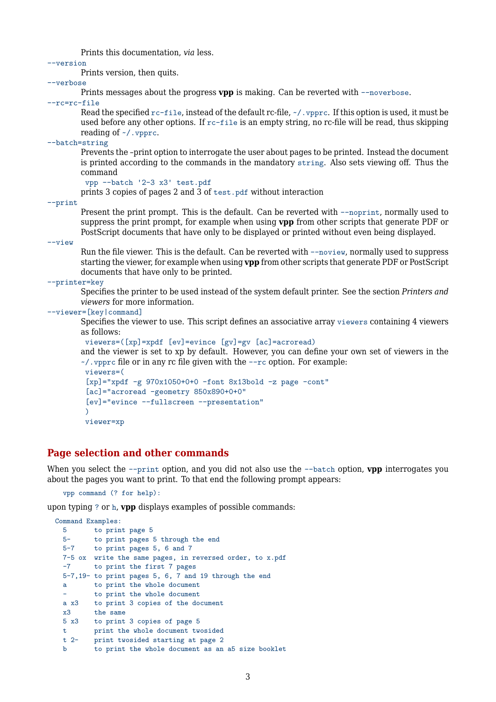Prints this documentation, *via* less.

--version

Prints version, then quits.

--verbose

Prints messages about the progress **vpp** is making. Can be reverted with --noverbose.

--rc=rc-file

Read the specified  $rc$ -file, instead of the default rc-file,  $\sim/$ . vpprc. If this option is used, it must be used before any other options. If rc-file is an empty string, no rc-file will be read, thus skipping reading of ~/.vpprc.

--batch=string

Prevents the –print option to interrogate the user about pages to be printed. Instead the document is printed according to the commands in the mandatory string. Also sets viewing off. Thus the command

vpp --batch '2-3 x3' test.pdf

prints 3 copies of pages 2 and 3 of test.pdf without interaction

--print

Present the print prompt. This is the default. Can be reverted with --noprint, normally used to suppress the print prompt, for example when using **vpp** from other scripts that generate PDF or PostScript documents that have only to be displayed or printed without even being displayed.

--view

Run the file viewer. This is the default. Can be reverted with --noview, normally used to suppress starting the viewer, for example when using **vpp** from other scripts that generate PDF or PostScript documents that have only to be printed.

--printer=key

Specifies the printer to be used instead of the system default printer. See the section *Printers and viewers* for more information.

--viewer=[key|command]

Specifies the viewer to use. This script defines an associative array viewers containing 4 viewers as follows:

viewers=([xp]=xpdf [ev]=evince [gv]=gv [ac]=acroread)

and the viewer is set to xp by default. However, you can define your own set of viewers in the  $\sim$ /. vpprc file or in any rc file given with the  $-\text{rc}$  option. For example:

```
viewers=(
[xp]="xpdf -g 970x1050+0+0 -font 8x13bold -z page -cont"
[ac]="acroread -geometry 850x890+0+0"
[ev]="evince --fullscreen --presentation"
\lambdaviewer=xp
```
#### **Page selection and other commands**

When you select the  $--$ print option, and you did not also use the  $--$ batch option, **vpp** interrogates you about the pages you want to print. To that end the following prompt appears:

vpp command (? for help):

upon typing ? or h, **vpp** displays examples of possible commands:

```
Command Examples:<br>5 to prin
      5 to print page 5
  5- to print pages 5 through the end
  5-7 to print pages 5, 6 and 7
  7-5 ox write the same pages, in reversed order, to x.pdf
  -7 to print the first 7 pages
  5-7,19- to print pages 5, 6, 7 and 19 through the end
  a to print the whole document
          to print the whole document
  a x3 to print 3 copies of the document
 x3 the same
  5 x3 to print 3 copies of page 5
 t print the whole document twosided<br>t 2- print twosided starting at page 2
         print twosided starting at page 2
  b to print the whole document as an a5 size booklet
```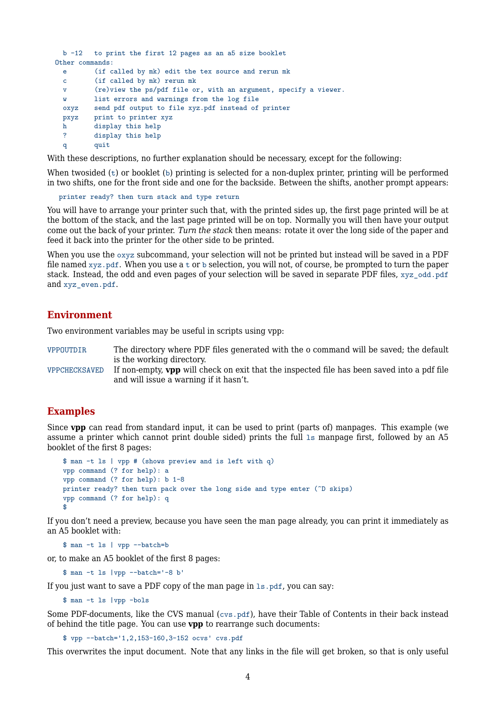```
b -12 to print the first 12 pages as an a5 size booklet
Other commands:
 e (if called by mk) edit the tex source and rerun mk
 c (if called by mk) rerun mk
 v (re)view the ps/pdf file or, with an argument, specify a viewer.
 w list errors and warnings from the log file
 oxyz send pdf output to file xyz.pdf instead of printer
 pxyz print to printer xyz
 h display this help
 ? display this help
 q quit
```
With these descriptions, no further explanation should be necessary, except for the following:

When twosided  $(t)$  or booklet  $(b)$  printing is selected for a non-duplex printer, printing will be performed in two shifts, one for the front side and one for the backside. Between the shifts, another prompt appears:

printer ready? then turn stack and type return

You will have to arrange your printer such that, with the printed sides up, the first page printed will be at the bottom of the stack, and the last page printed will be on top. Normally you will then have your output come out the back of your printer. *Turn the stack* then means: rotate it over the long side of the paper and feed it back into the printer for the other side to be printed.

When you use the  $\alpha$ yz subcommand, your selection will not be printed but instead will be saved in a PDF file named  $xyz$  pdf. When you use a t or b selection, you will not, of course, be prompted to turn the paper stack. Instead, the odd and even pages of your selection will be saved in separate PDF files, xyz\_odd.pdf and xyz\_even.pdf.

#### **Environment**

Two environment variables may be useful in scripts using vpp:

VPPOUTDIR The directory where PDF files generated with the o command will be saved; the default is the working directory.

VPPCHECKSAVED If non-empty, **vpp** will check on exit that the inspected file has been saved into a pdf file and will issue a warning if it hasn't.

#### **Examples**

Since **vpp** can read from standard input, it can be used to print (parts of) manpages. This example (we assume a printer which cannot print double sided) prints the full 1s manpage first, followed by an A5 booklet of the first 8 pages:

```
$ man -t ls | vpp # (shows preview and is left with q)
vpp command (? for help): a
vpp command (? for help): b 1-8
printer ready? then turn pack over the long side and type enter (^D skips)
vpp command (? for help): q
$
```
If you don't need a preview, because you have seen the man page already, you can print it immediately as an A5 booklet with:

\$ man -t ls | vpp --batch=b

or, to make an A5 booklet of the first 8 pages:

\$ man -t ls |vpp --batch='-8 b'

If you just want to save a PDF copy of the man page in ls.pdf, you can say:

\$ man -t ls |vpp -bols

Some PDF-documents, like the CVS manual (cvs.pdf), have their Table of Contents in their back instead of behind the title page. You can use **vpp** to rearrange such documents:

\$ vpp --batch='1,2,153-160,3-152 ocvs' cvs.pdf

This overwrites the input document. Note that any links in the file will get broken, so that is only useful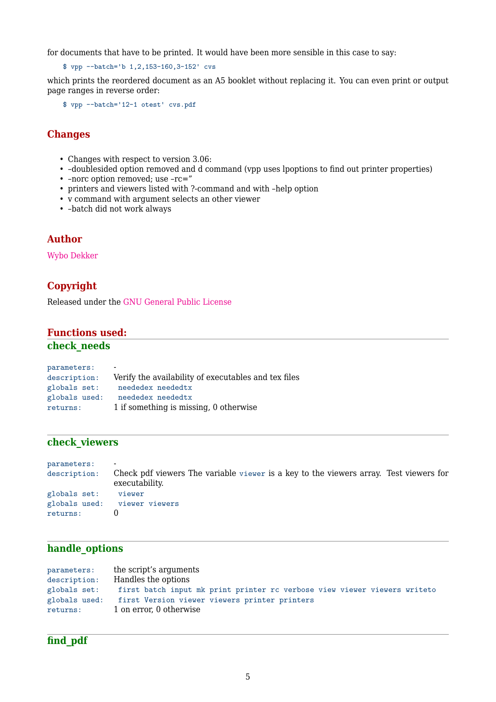for documents that have to be printed. It would have been more sensible in this case to say:

\$ vpp --batch='b 1,2,153-160,3-152' cvs

which prints the reordered document as an A5 booklet without replacing it. You can even print or output page ranges in reverse order:

\$ vpp --batch='12-1 otest' cvs.pdf

#### **Changes**

- Changes with respect to version 3.06:
- –doublesided option removed and d command (vpp uses lpoptions to find out printer properties)
- –norc option removed; use –rc="
- printers and viewers listed with ?-command and with –help option
- v command with argument selects an other viewer
- –batch did not work always

#### **Author**

[Wybo Dekker](mailto:wybo@dekkerdocumenten.nl)

# **Copyright**

Released under the [GNU General Public License](http://www.gnu.org/copyleft/gpl.html)

# **Functions used:**

#### **check\_needs**

| parameters:   | $\blacksquare$                                       |
|---------------|------------------------------------------------------|
| description:  | Verify the availability of executables and tex files |
| globals set:  | neededex neededtx                                    |
| globals used: | neededex neededtx                                    |
| returns:      | 1 if something is missing, 0 otherwise               |

#### **check\_viewers**

| parameters:  | $\blacksquare$                                                                                          |
|--------------|---------------------------------------------------------------------------------------------------------|
| description: | Check pdf viewers The variable viewer is a key to the viewers array. Test viewers for<br>executability. |
| globals set: | viewer                                                                                                  |
|              | globals used: viewer viewers                                                                            |
| returns:     |                                                                                                         |

#### **handle\_options**

| parameters:   | the script's arguments                                                    |
|---------------|---------------------------------------------------------------------------|
| description:  | Handles the options                                                       |
| globals set:  | first batch input mk print printer rc verbose view viewer viewers writeto |
| globals used: | first Version viewer viewers printer printers                             |
| returns:      | 1 on error, 0 otherwise                                                   |

# **find\_pdf**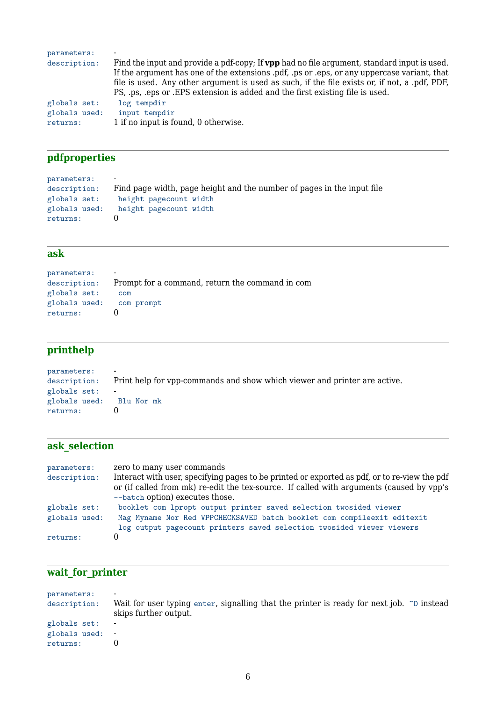| parameters:               |                                                                                                                                                                                                |
|---------------------------|------------------------------------------------------------------------------------------------------------------------------------------------------------------------------------------------|
| description:              | Find the input and provide a pdf-copy; If <b>vpp</b> had no file argument, standard input is used.<br>If the argument has one of the extensions pdf, ps or eps, or any uppercase variant, that |
|                           | file is used. Any other argument is used as such, if the file exists or, if not, a .pdf, PDF,<br>PS, ps, eps or EPS extension is added and the first existing file is used.                    |
| globals set:              | log tempdir                                                                                                                                                                                    |
| globals used:<br>returns: | input tempdir<br>1 if no input is found, 0 otherwise.                                                                                                                                          |

# **pdfproperties**

| parameters:   |                                                                        |
|---------------|------------------------------------------------------------------------|
| description:  | Find page width, page height and the number of pages in the input file |
| globals set:  | height pagecount width                                                 |
| globals used: | height pagecount width                                                 |
| returns:      |                                                                        |

# **ask**

| parameters:              | $\blacksquare$                                  |
|--------------------------|-------------------------------------------------|
| description:             | Prompt for a command, return the command in com |
| globals set:             | com                                             |
| globals used: com prompt |                                                 |
| returns:                 |                                                 |

# **printhelp**

| parameters:              | $\blacksquare$                                                            |
|--------------------------|---------------------------------------------------------------------------|
| description:             | Print help for vpp-commands and show which viewer and printer are active. |
| globals set:             |                                                                           |
| globals used: Blu Nor mk |                                                                           |
| returns:                 |                                                                           |

# **ask\_selection**

| parameters:   | zero to many user commands                                                                                                                                                               |
|---------------|------------------------------------------------------------------------------------------------------------------------------------------------------------------------------------------|
| description:  | Interact with user, specifying pages to be printed or exported as pdf, or to re-view the pdf<br>or (if called from mk) re-edit the tex-source. If called with arguments (caused by vpp's |
|               | --batch option) executes those.                                                                                                                                                          |
| globals set:  | booklet com lpropt output printer saved selection twosided viewer                                                                                                                        |
| globals used: | Mag Myname Nor Red VPPCHECKSAVED batch booklet com compileexit editexit                                                                                                                  |
|               | log output pagecount printers saved selection twosided viewer viewers                                                                                                                    |
| returns:      |                                                                                                                                                                                          |

# **wait\_for\_printer**

| parameters:<br>description: | $\overline{\phantom{a}}$<br>Wait for user typing enter, signalling that the printer is ready for next job. $\infty$ instead<br>skips further output. |  |
|-----------------------------|------------------------------------------------------------------------------------------------------------------------------------------------------|--|
| globals set:                | $\overline{\phantom{a}}$                                                                                                                             |  |
| globals used: -             |                                                                                                                                                      |  |
| returns:                    |                                                                                                                                                      |  |